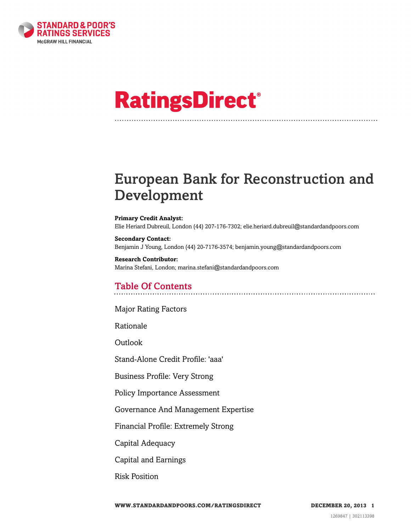

# **RatingsDirect®**

# European Bank for Reconstruction and Development

#### **Primary Credit Analyst:**

Elie Heriard Dubreuil, London (44) 207-176-7302; elie.heriard.dubreuil@standardandpoors.com

### **Secondary Contact:** Benjamin J Young, London (44) 20-7176-3574; benjamin.young@standardandpoors.com

**Research Contributor:** Marina Stefani, London; marina.stefani@standardandpoors.com

### Table Of Contents

[Major Rating Factors](#page-2-0)

[Rationale](#page-2-1)

[Outlook](#page-4-0)

[Stand-Alone Credit Profile: 'aaa'](#page-4-1)

[Business Profile: Very Strong](#page-4-2)

[Policy Importance Assessment](#page-4-3)

[Governance And Management Expertise](#page-6-0)

[Financial Profile: Extremely Strong](#page-7-0)

[Capital Adequacy](#page-7-1)

[Capital and Earnings](#page-9-0)

[Risk Position](#page-13-0)

**WWW.STANDARDANDPOORS.COM/RATINGSDIRECT DECEMBER 20, 2013 1**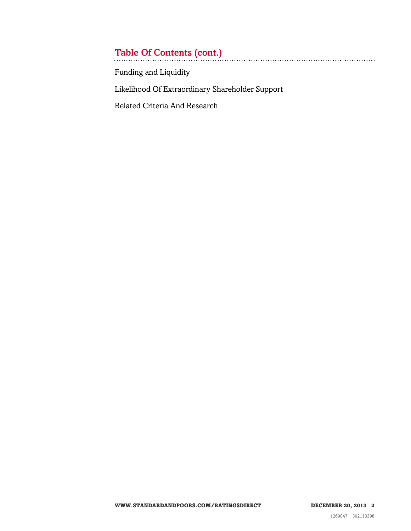# Table Of Contents (cont.)

[Funding and Liquidity](#page-16-0)

[Likelihood Of Extraordinary Shareholder Support](#page-16-1)

[Related Criteria And Research](#page-16-2)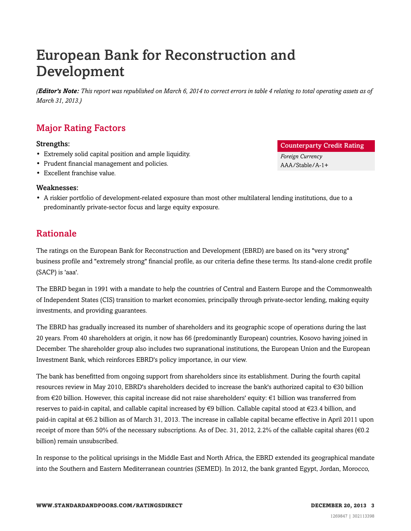# European Bank for Reconstruction and Development

*(Editor's Note: This report was republished on March 6, 2014 to correct errors in table 4 relating to total operating assets as of March 31, 2013.)*

### <span id="page-2-0"></span>Major Rating Factors

### Strengths:

- Extremely solid capital position and ample liquidity.
- Prudent financial management and policies.
- Excellent franchise value.

### Weaknesses:

• A riskier portfolio of development-related exposure than most other multilateral lending institutions, due to a predominantly private-sector focus and large equity exposure.

### <span id="page-2-1"></span>Rationale

The ratings on the European Bank for Reconstruction and Development (EBRD) are based on its "very strong" business profile and "extremely strong" financial profile, as our criteria define these terms. Its stand-alone credit profile (SACP) is 'aaa'.

The EBRD began in 1991 with a mandate to help the countries of Central and Eastern Europe and the Commonwealth of Independent States (CIS) transition to market economies, principally through private-sector lending, making equity investments, and providing guarantees.

The EBRD has gradually increased its number of shareholders and its geographic scope of operations during the last 20 years. From 40 shareholders at origin, it now has 66 (predominantly European) countries, Kosovo having joined in December. The shareholder group also includes two supranational institutions, the European Union and the European Investment Bank, which reinforces EBRD's policy importance, in our view.

The bank has benefitted from ongoing support from shareholders since its establishment. During the fourth capital resources review in May 2010, EBRD's shareholders decided to increase the bank's authorized capital to €30 billion from €20 billion. However, this capital increase did not raise shareholders' equity: €1 billion was transferred from reserves to paid-in capital, and callable capital increased by €9 billion. Callable capital stood at €23.4 billion, and paid-in capital at €6.2 billion as of March 31, 2013. The increase in callable capital became effective in April 2011 upon receipt of more than 50% of the necessary subscriptions. As of Dec. 31, 2012, 2.2% of the callable capital shares ( $\epsilon$ 0.2 billion) remain unsubscribed.

In response to the political uprisings in the Middle East and North Africa, the EBRD extended its geographical mandate into the Southern and Eastern Mediterranean countries (SEMED). In 2012, the bank granted Egypt, Jordan, Morocco,

### Counterparty Credit Rating

*Foreign Currency* AAA/Stable/A-1+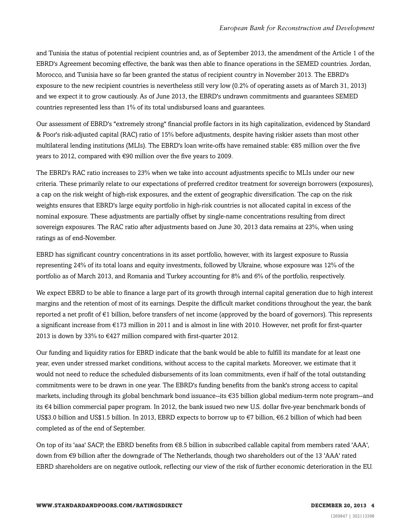and Tunisia the status of potential recipient countries and, as of September 2013, the amendment of the Article 1 of the EBRD's Agreement becoming effective, the bank was then able to finance operations in the SEMED countries. Jordan, Morocco, and Tunisia have so far been granted the status of recipient country in November 2013. The EBRD's exposure to the new recipient countries is nevertheless still very low (0.2% of operating assets as of March 31, 2013) and we expect it to grow cautiously. As of June 2013, the EBRD's undrawn commitments and guarantees SEMED countries represented less than 1% of its total undisbursed loans and guarantees.

Our assessment of EBRD's "extremely strong" financial profile factors in its high capitalization, evidenced by Standard & Poor's risk-adjusted capital (RAC) ratio of 15% before adjustments, despite having riskier assets than most other multilateral lending institutions (MLIs). The EBRD's loan write-offs have remained stable: €85 million over the five years to 2012, compared with €90 million over the five years to 2009.

The EBRD's RAC ratio increases to 23% when we take into account adjustments specific to MLIs under our new criteria. These primarily relate to our expectations of preferred creditor treatment for sovereign borrowers (exposures), a cap on the risk weight of high-risk exposures, and the extent of geographic diversification. The cap on the risk weights ensures that EBRD's large equity portfolio in high-risk countries is not allocated capital in excess of the nominal exposure. These adjustments are partially offset by single-name concentrations resulting from direct sovereign exposures. The RAC ratio after adjustments based on June 30, 2013 data remains at 23%, when using ratings as of end-November.

EBRD has significant country concentrations in its asset portfolio, however, with its largest exposure to Russia representing 24% of its total loans and equity investments, followed by Ukraine, whose exposure was 12% of the portfolio as of March 2013, and Romania and Turkey accounting for 8% and 6% of the portfolio, respectively.

We expect EBRD to be able to finance a large part of its growth through internal capital generation due to high interest margins and the retention of most of its earnings. Despite the difficult market conditions throughout the year, the bank reported a net profit of  $\epsilon$ 1 billion, before transfers of net income (approved by the board of governors). This represents a significant increase from €173 million in 2011 and is almost in line with 2010. However, net profit for first-quarter 2013 is down by 33% to  $\epsilon$ 427 million compared with first-quarter 2012.

Our funding and liquidity ratios for EBRD indicate that the bank would be able to fulfill its mandate for at least one year, even under stressed market conditions, without access to the capital markets. Moreover, we estimate that it would not need to reduce the scheduled disbursements of its loan commitments, even if half of the total outstanding commitments were to be drawn in one year. The EBRD's funding benefits from the bank's strong access to capital markets, including through its global benchmark bond issuance--its €35 billion global medium-term note program--and its €4 billion commercial paper program. In 2012, the bank issued two new U.S. dollar five-year benchmark bonds of US\$3.0 billion and US\$1.5 billion. In 2013, EBRD expects to borrow up to €7 billion, €6.2 billion of which had been completed as of the end of September.

On top of its 'aaa' SACP, the EBRD benefits from €8.5 billion in subscribed callable capital from members rated 'AAA', down from €9 billion after the downgrade of The Netherlands, though two shareholders out of the 13 'AAA' rated EBRD shareholders are on negative outlook, reflecting our view of the risk of further economic deterioration in the EU.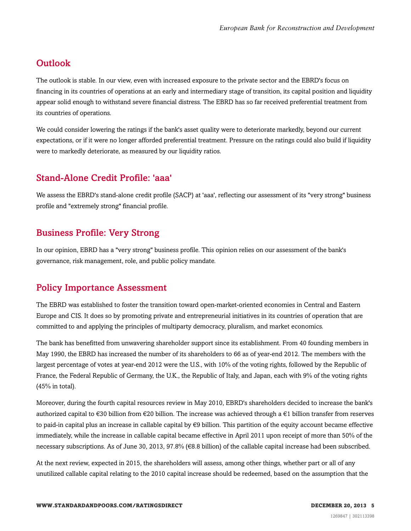### <span id="page-4-0"></span>**Outlook**

The outlook is stable. In our view, even with increased exposure to the private sector and the EBRD's focus on financing in its countries of operations at an early and intermediary stage of transition, its capital position and liquidity appear solid enough to withstand severe financial distress. The EBRD has so far received preferential treatment from its countries of operations.

We could consider lowering the ratings if the bank's asset quality were to deteriorate markedly, beyond our current expectations, or if it were no longer afforded preferential treatment. Pressure on the ratings could also build if liquidity were to markedly deteriorate, as measured by our liquidity ratios.

### <span id="page-4-1"></span>Stand-Alone Credit Profile: 'aaa'

We assess the EBRD's stand-alone credit profile (SACP) at 'aaa', reflecting our assessment of its "very strong" business profile and "extremely strong" financial profile.

### <span id="page-4-2"></span>Business Profile: Very Strong

In our opinion, EBRD has a "very strong" business profile. This opinion relies on our assessment of the bank's governance, risk management, role, and public policy mandate.

### <span id="page-4-3"></span>Policy Importance Assessment

The EBRD was established to foster the transition toward open-market-oriented economies in Central and Eastern Europe and CIS. It does so by promoting private and entrepreneurial initiatives in its countries of operation that are committed to and applying the principles of multiparty democracy, pluralism, and market economics.

The bank has benefitted from unwavering shareholder support since its establishment. From 40 founding members in May 1990, the EBRD has increased the number of its shareholders to 66 as of year-end 2012. The members with the largest percentage of votes at year-end 2012 were the U.S., with 10% of the voting rights, followed by the Republic of France, the Federal Republic of Germany, the U.K., the Republic of Italy, and Japan, each with 9% of the voting rights (45% in total).

Moreover, during the fourth capital resources review in May 2010, EBRD's shareholders decided to increase the bank's authorized capital to  $\epsilon$ 30 billion from  $\epsilon$ 20 billion. The increase was achieved through a  $\epsilon$ 1 billion transfer from reserves to paid-in capital plus an increase in callable capital by €9 billion. This partition of the equity account became effective immediately, while the increase in callable capital became effective in April 2011 upon receipt of more than 50% of the necessary subscriptions. As of June 30, 2013, 97.8% (€8.8 billion) of the callable capital increase had been subscribed.

At the next review, expected in 2015, the shareholders will assess, among other things, whether part or all of any unutilized callable capital relating to the 2010 capital increase should be redeemed, based on the assumption that the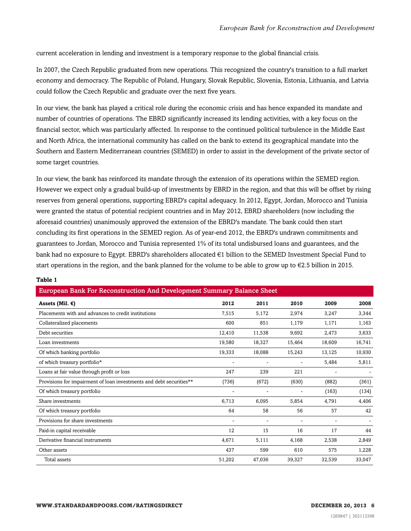current acceleration in lending and investment is a temporary response to the global financial crisis.

In 2007, the Czech Republic graduated from new operations. This recognized the country's transition to a full market economy and democracy. The Republic of Poland, Hungary, Slovak Republic, Slovenia, Estonia, Lithuania, and Latvia could follow the Czech Republic and graduate over the next five years.

In our view, the bank has played a critical role during the economic crisis and has hence expanded its mandate and number of countries of operations. The EBRD significantly increased its lending activities, with a key focus on the financial sector, which was particularly affected. In response to the continued political turbulence in the Middle East and North Africa, the international community has called on the bank to extend its geographical mandate into the Southern and Eastern Mediterranean countries (SEMED) in order to assist in the development of the private sector of some target countries.

In our view, the bank has reinforced its mandate through the extension of its operations within the SEMED region. However we expect only a gradual build-up of investments by EBRD in the region, and that this will be offset by rising reserves from general operations, supporting EBRD's capital adequacy. In 2012, Egypt, Jordan, Morocco and Tunisia were granted the status of potential recipient countries and in May 2012, EBRD shareholders (now including the aforesaid countries) unanimously approved the extension of the EBRD's mandate. The bank could then start concluding its first operations in the SEMED region. As of year-end 2012, the EBRD's undrawn commitments and guarantees to Jordan, Morocco and Tunisia represented 1% of its total undisbursed loans and guarantees, and the bank had no exposure to Egypt. EBRD's shareholders allocated €1 billion to the SEMED Investment Special Fund to start operations in the region, and the bank planned for the volume to be able to grow up to  $\epsilon$ 2.5 billion in 2015.

| <b>European Bank For Reconstruction And Development Summary Balance Sheet</b> |        |        |        |        |        |
|-------------------------------------------------------------------------------|--------|--------|--------|--------|--------|
| Assets (Mil. $€$ )                                                            | 2012   | 2011   | 2010   | 2009   | 2008   |
| Placements with and advances to credit institutions                           | 7,515  | 5,172  | 2,974  | 3,247  | 3,344  |
| Collateralized placements                                                     | 600    | 851    | 1,179  | 1,171  | 1,163  |
| Debt securities                                                               | 12,410 | 11,538 | 9,692  | 2,473  | 3,633  |
| Loan investments                                                              | 19,580 | 18,327 | 15,464 | 18,609 | 16,741 |
| Of which banking portfolio                                                    | 19,333 | 18,088 | 15,243 | 13,125 | 10,930 |
| of which treasury portfolio*                                                  |        |        |        | 5,484  | 5,811  |
| Loans at fair value through profit or loss                                    | 247    | 239    | 221    |        |        |
| Provisions for impairment of loan investments and debt securities**           | (736)  | (672)  | (630)  | (882)  | (361)  |
| Of which treasury portfolio                                                   |        |        |        | (163)  | (134)  |
| Share investments                                                             | 6,713  | 6.095  | 5,854  | 4,791  | 4,406  |
| Of which treasury portfolio                                                   | 64     | 58     | 56     | 57     | 42     |
| Provisions for share investments                                              |        |        |        |        |        |
| Paid-in capital receivable                                                    | 12     | 15     | 16     | 17     | 44     |
| Derivative financial instruments                                              | 4,671  | 5,111  | 4,168  | 2,538  | 2,849  |
| Other assets                                                                  | 437    | 599    | 610    | 575    | 1,228  |
| Total assets                                                                  | 51,202 | 47,036 | 39,327 | 32,539 | 33,047 |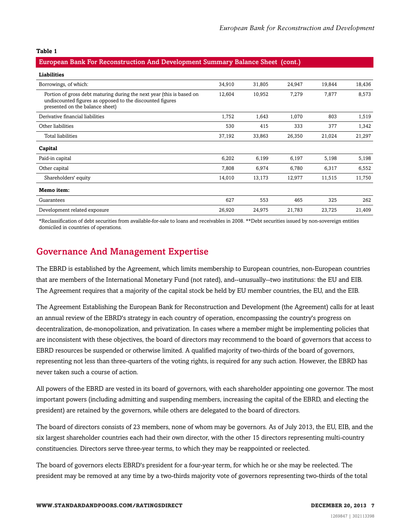#### European Bank For Reconstruction And Development Summary Balance Sheet (cont.)

| Liabilities                                                                                                                                                           |        |        |        |        |        |
|-----------------------------------------------------------------------------------------------------------------------------------------------------------------------|--------|--------|--------|--------|--------|
| Borrowings, of which:                                                                                                                                                 | 34,910 | 31,805 | 24,947 | 19,844 | 18,436 |
| Portion of gross debt maturing during the next year (this is based on<br>undiscounted figures as opposed to the discounted figures<br>presented on the balance sheet) | 12,604 | 10,952 | 7,279  | 7,877  | 8,573  |
| Derivative financial liabilities                                                                                                                                      | 1,752  | 1,643  | 1,070  | 803    | 1,519  |
| Other liabilities                                                                                                                                                     | 530    | 415    | 333    | 377    | 1,342  |
| Total liabilities                                                                                                                                                     | 37,192 | 33,863 | 26,350 | 21,024 | 21,297 |
| Capital                                                                                                                                                               |        |        |        |        |        |
| Paid-in capital                                                                                                                                                       | 6,202  | 6,199  | 6,197  | 5,198  | 5,198  |
| Other capital                                                                                                                                                         | 7,808  | 6,974  | 6,780  | 6,317  | 6,552  |
| Shareholders' equity                                                                                                                                                  | 14,010 | 13,173 | 12,977 | 11,515 | 11,750 |
| Memo item:                                                                                                                                                            |        |        |        |        |        |
| Guarantees                                                                                                                                                            | 627    | 553    | 465    | 325    | 262    |
| Development related exposure                                                                                                                                          | 26,920 | 24,975 | 21,783 | 23,725 | 21,409 |

\*Reclassification of debt securities from available-for-sale to loans and receivables in 2008. \*\*Debt securities issued by non-sovereign entities domiciled in countries of operations.

### <span id="page-6-0"></span>Governance And Management Expertise

The EBRD is established by the Agreement, which limits membership to European countries, non-European countries that are members of the International Monetary Fund (not rated), and--unusually--two institutions: the EU and EIB. The Agreement requires that a majority of the capital stock be held by EU member countries, the EU, and the EIB.

The Agreement Establishing the European Bank for Reconstruction and Development (the Agreement) calls for at least an annual review of the EBRD's strategy in each country of operation, encompassing the country's progress on decentralization, de-monopolization, and privatization. In cases where a member might be implementing policies that are inconsistent with these objectives, the board of directors may recommend to the board of governors that access to EBRD resources be suspended or otherwise limited. A qualified majority of two-thirds of the board of governors, representing not less than three-quarters of the voting rights, is required for any such action. However, the EBRD has never taken such a course of action.

All powers of the EBRD are vested in its board of governors, with each shareholder appointing one governor. The most important powers (including admitting and suspending members, increasing the capital of the EBRD, and electing the president) are retained by the governors, while others are delegated to the board of directors.

The board of directors consists of 23 members, none of whom may be governors. As of July 2013, the EU, EIB, and the six largest shareholder countries each had their own director, with the other 15 directors representing multi-country constituencies. Directors serve three-year terms, to which they may be reappointed or reelected.

The board of governors elects EBRD's president for a four-year term, for which he or she may be reelected. The president may be removed at any time by a two-thirds majority vote of governors representing two-thirds of the total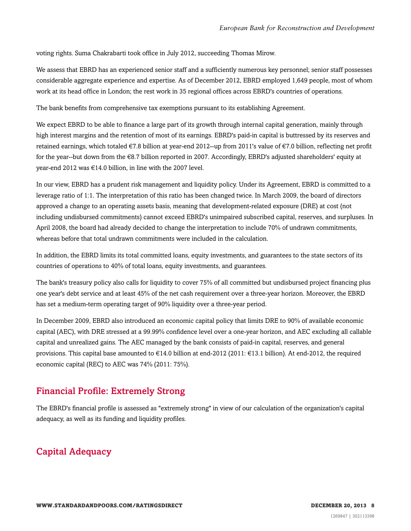voting rights. Suma Chakrabarti took office in July 2012, succeeding Thomas Mirow.

We assess that EBRD has an experienced senior staff and a sufficiently numerous key personnel; senior staff possesses considerable aggregate experience and expertise. As of December 2012, EBRD employed 1,649 people, most of whom work at its head office in London; the rest work in 35 regional offices across EBRD's countries of operations.

The bank benefits from comprehensive tax exemptions pursuant to its establishing Agreement.

We expect EBRD to be able to finance a large part of its growth through internal capital generation, mainly through high interest margins and the retention of most of its earnings. EBRD's paid-in capital is buttressed by its reserves and retained earnings, which totaled €7.8 billion at year-end 2012--up from 2011's value of €7.0 billion, reflecting net profit for the year--but down from the €8.7 billion reported in 2007. Accordingly, EBRD's adjusted shareholders' equity at year-end 2012 was €14.0 billion, in line with the 2007 level.

In our view, EBRD has a prudent risk management and liquidity policy. Under its Agreement, EBRD is committed to a leverage ratio of 1:1. The interpretation of this ratio has been changed twice. In March 2009, the board of directors approved a change to an operating assets basis, meaning that development-related exposure (DRE) at cost (not including undisbursed commitments) cannot exceed EBRD's unimpaired subscribed capital, reserves, and surpluses. In April 2008, the board had already decided to change the interpretation to include 70% of undrawn commitments, whereas before that total undrawn commitments were included in the calculation.

In addition, the EBRD limits its total committed loans, equity investments, and guarantees to the state sectors of its countries of operations to 40% of total loans, equity investments, and guarantees.

The bank's treasury policy also calls for liquidity to cover 75% of all committed but undisbursed project financing plus one year's debt service and at least 45% of the net cash requirement over a three-year horizon. Moreover, the EBRD has set a medium-term operating target of 90% liquidity over a three-year period.

In December 2009, EBRD also introduced an economic capital policy that limits DRE to 90% of available economic capital (AEC), with DRE stressed at a 99.99% confidence level over a one-year horizon, and AEC excluding all callable capital and unrealized gains. The AEC managed by the bank consists of paid-in capital, reserves, and general provisions. This capital base amounted to €14.0 billion at end-2012 (2011: €13.1 billion). At end-2012, the required economic capital (REC) to AEC was 74% (2011: 75%).

### <span id="page-7-0"></span>Financial Profile: Extremely Strong

The EBRD's financial profile is assessed as "extremely strong" in view of our calculation of the organization's capital adequacy, as well as its funding and liquidity profiles.

### <span id="page-7-1"></span>Capital Adequacy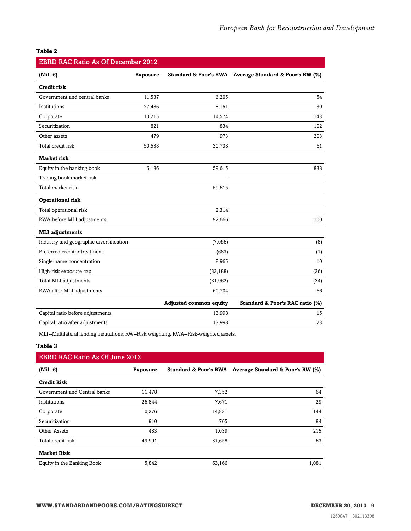| <b>EBRD RAC Ratio As Of December 2012</b> |                 |                               |                                                        |  |  |  |  |  |  |  |
|-------------------------------------------|-----------------|-------------------------------|--------------------------------------------------------|--|--|--|--|--|--|--|
| (Mil. $\epsilon$ )                        | <b>Exposure</b> |                               | Standard & Poor's RWA Average Standard & Poor's RW (%) |  |  |  |  |  |  |  |
| <b>Credit risk</b>                        |                 |                               |                                                        |  |  |  |  |  |  |  |
| Government and central banks              | 11,537          | 6,205                         | 54                                                     |  |  |  |  |  |  |  |
| Institutions                              | 27,486          | 8,151                         | 30                                                     |  |  |  |  |  |  |  |
| Corporate                                 | 10,215          | 14,574                        | 143                                                    |  |  |  |  |  |  |  |
| Securitization                            | 821             | 834                           | 102                                                    |  |  |  |  |  |  |  |
| Other assets                              | 479             | 973                           | 203                                                    |  |  |  |  |  |  |  |
| Total credit risk                         | 50,538          | 30,738                        | 61                                                     |  |  |  |  |  |  |  |
| <b>Market risk</b>                        |                 |                               |                                                        |  |  |  |  |  |  |  |
| Equity in the banking book                | 6,186           | 59,615                        | 838                                                    |  |  |  |  |  |  |  |
| Trading book market risk                  |                 |                               |                                                        |  |  |  |  |  |  |  |
| Total market risk                         |                 | 59,615                        |                                                        |  |  |  |  |  |  |  |
| Operational risk                          |                 |                               |                                                        |  |  |  |  |  |  |  |
| Total operational risk                    |                 | 2,314                         |                                                        |  |  |  |  |  |  |  |
| RWA before MLI adjustments                |                 | 92,666                        | 100                                                    |  |  |  |  |  |  |  |
| <b>MLI</b> adjustments                    |                 |                               |                                                        |  |  |  |  |  |  |  |
| Industry and geographic diversification   |                 | (7,056)                       | (8)                                                    |  |  |  |  |  |  |  |
| Preferred creditor treatment              |                 | (683)                         | (1)                                                    |  |  |  |  |  |  |  |
| Single-name concentration                 |                 | 8,965                         | 10                                                     |  |  |  |  |  |  |  |
| High-risk exposure cap                    |                 | (33, 188)                     | (36)                                                   |  |  |  |  |  |  |  |
| Total MLI adjustments                     |                 | (31,962)                      | (34)                                                   |  |  |  |  |  |  |  |
| RWA after MLI adjustments                 |                 | 60,704                        | 66                                                     |  |  |  |  |  |  |  |
|                                           |                 | <b>Adjusted common equity</b> | Standard & Poor's RAC ratio (%)                        |  |  |  |  |  |  |  |
| Capital ratio before adjustments          |                 | 13,998                        | 15                                                     |  |  |  |  |  |  |  |
| Capital ratio after adjustments           |                 | 13,998                        | 23                                                     |  |  |  |  |  |  |  |

MLI--Multilateral lending institutions. RW--Risk weighting. RWA--Risk-weighted assets.

#### **Table 3**

### EBRD RAC Ratio As Of June 2013

| (Mil. $\epsilon$ )           | <b>Exposure</b> |        | Standard & Poor's RWA Average Standard & Poor's RW (%) |
|------------------------------|-----------------|--------|--------------------------------------------------------|
| <b>Credit Risk</b>           |                 |        |                                                        |
| Government and Central banks | 11,478          | 7,352  | 64                                                     |
| Institutions                 | 26,844          | 7,671  | 29                                                     |
| Corporate                    | 10,276          | 14,831 | 144                                                    |
| Securitization               | 910             | 765    | 84                                                     |
| Other Assets                 | 483             | 1,039  | 215                                                    |
| Total credit risk            | 49,991          | 31,658 | 63                                                     |
| <b>Market Risk</b>           |                 |        |                                                        |
| Equity in the Banking Book   | 5,842           | 63,166 | 1,081                                                  |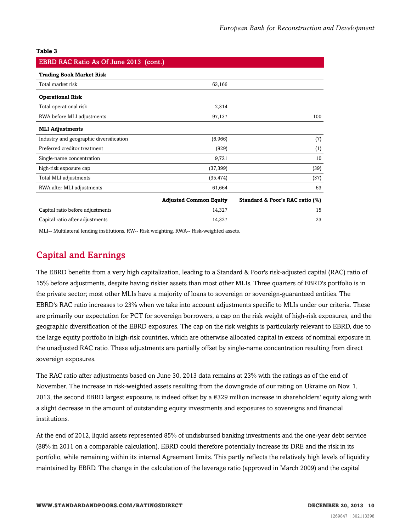| EBRD RAC Ratio As Of June 2013 (cont.)  |                               |                                 |
|-----------------------------------------|-------------------------------|---------------------------------|
| <b>Trading Book Market Risk</b>         |                               |                                 |
| Total market risk                       | 63,166                        |                                 |
| <b>Operational Risk</b>                 |                               |                                 |
| Total operational risk                  | 2,314                         |                                 |
| RWA before MLI adjustments              | 97,137                        | 100                             |
| <b>MLI Adjustments</b>                  |                               |                                 |
| Industry and geographic diversification | (6,966)                       | (7)                             |
| Preferred creditor treatment            | (829)                         | (1)                             |
| Single-name concentration               | 9,721                         | 10                              |
| high-risk exposure cap                  | (37, 399)                     | (39)                            |
| Total MLI adjustments                   | (35, 474)                     | (37)                            |
| RWA after MLI adjustments               | 61,664                        | 63                              |
|                                         | <b>Adjusted Common Equity</b> | Standard & Poor's RAC ratio (%) |
| Capital ratio before adjustments        | 14,327                        | 15                              |
| Capital ratio after adjustments         | 14,327                        | 23                              |

<span id="page-9-0"></span>MLI-- Multilateral lending institutions. RW-- Risk weighting. RWA-- Risk-weighted assets.

### Capital and Earnings

The EBRD benefits from a very high capitalization, leading to a Standard & Poor's risk-adjusted capital (RAC) ratio of 15% before adjustments, despite having riskier assets than most other MLIs. Three quarters of EBRD's portfolio is in the private sector; most other MLIs have a majority of loans to sovereign or sovereign-guaranteed entities. The EBRD's RAC ratio increases to 23% when we take into account adjustments specific to MLIs under our criteria. These are primarily our expectation for PCT for sovereign borrowers, a cap on the risk weight of high-risk exposures, and the geographic diversification of the EBRD exposures. The cap on the risk weights is particularly relevant to EBRD, due to the large equity portfolio in high-risk countries, which are otherwise allocated capital in excess of nominal exposure in the unadjusted RAC ratio. These adjustments are partially offset by single-name concentration resulting from direct sovereign exposures.

The RAC ratio after adjustments based on June 30, 2013 data remains at 23% with the ratings as of the end of November. The increase in risk-weighted assets resulting from the downgrade of our rating on Ukraine on Nov. 1, 2013, the second EBRD largest exposure, is indeed offset by a  $\epsilon$ 329 million increase in shareholders' equity along with a slight decrease in the amount of outstanding equity investments and exposures to sovereigns and financial institutions.

At the end of 2012, liquid assets represented 85% of undisbursed banking investments and the one-year debt service (88% in 2011 on a comparable calculation). EBRD could therefore potentially increase its DRE and the risk in its portfolio, while remaining within its internal Agreement limits. This partly reflects the relatively high levels of liquidity maintained by EBRD. The change in the calculation of the leverage ratio (approved in March 2009) and the capital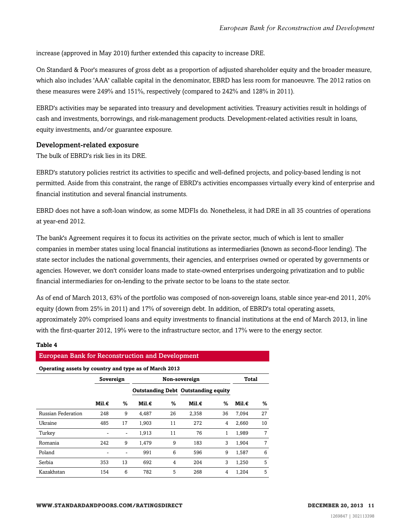increase (approved in May 2010) further extended this capacity to increase DRE.

On Standard & Poor's measures of gross debt as a proportion of adjusted shareholder equity and the broader measure, which also includes 'AAA' callable capital in the denominator, EBRD has less room for manoeuvre. The 2012 ratios on these measures were 249% and 151%, respectively (compared to 242% and 128% in 2011).

EBRD's activities may be separated into treasury and development activities. Treasury activities result in holdings of cash and investments, borrowings, and risk-management products. Development-related activities result in loans, equity investments, and/or guarantee exposure.

#### Development-related exposure

The bulk of EBRD's risk lies in its DRE.

EBRD's statutory policies restrict its activities to specific and well-defined projects, and policy-based lending is not permitted. Aside from this constraint, the range of EBRD's activities encompasses virtually every kind of enterprise and financial institution and several financial instruments.

EBRD does not have a soft-loan window, as some MDFIs do. Nonetheless, it had DRE in all 35 countries of operations at year-end 2012.

The bank's Agreement requires it to focus its activities on the private sector, much of which is lent to smaller companies in member states using local financial institutions as intermediaries (known as second-floor lending). The state sector includes the national governments, their agencies, and enterprises owned or operated by governments or agencies. However, we don't consider loans made to state-owned enterprises undergoing privatization and to public financial intermediaries for on-lending to the private sector to be loans to the state sector.

As of end of March 2013, 63% of the portfolio was composed of non-sovereign loans, stable since year-end 2011, 20% equity (down from 25% in 2011) and 17% of sovereign debt. In addition, of EBRD's total operating assets, approximately 20% comprised loans and equity investments to financial institutions at the end of March 2013, in line with the first-quarter 2012, 19% were to the infrastructure sector, and 17% were to the energy sector.

| <b>European Bank for Reconstruction and Development</b> |                 |                            |       |    |                                            |       |       |    |  |
|---------------------------------------------------------|-----------------|----------------------------|-------|----|--------------------------------------------|-------|-------|----|--|
| Operating assets by country and type as of March 2013   |                 |                            |       |    |                                            |       |       |    |  |
|                                                         |                 | Sovereign<br>Non-sovereign |       |    |                                            | Total |       |    |  |
|                                                         |                 |                            |       |    | <b>Outstanding Debt Outstanding equity</b> |       |       |    |  |
|                                                         | Mil. $\epsilon$ | ℅                          | Mil.€ | ℅  | Mil.€                                      | ℅     | Mil.€ | %  |  |
| Russian Federation                                      | 248             | 9                          | 4.487 | 26 | 2.358                                      | 36    | 7,094 | 27 |  |
| Ukraine                                                 | 485             | 17                         | 1,903 | 11 | 272                                        | 4     | 2.660 | 10 |  |
| Turkey                                                  |                 |                            | 1,913 | 11 | 76                                         | 1     | 1,989 | 7  |  |
| Romania                                                 | 242             | 9                          | 1.479 | 9  | 183                                        | 3     | 1.904 | 7  |  |
| Poland                                                  |                 |                            | 991   | 6  | 596                                        | 9     | 1.587 | 6  |  |
| Serbia                                                  | 353             | 13                         | 692   | 4  | 204                                        | 3     | 1.250 | 5  |  |
| Kazakhstan                                              | 154             | 6                          | 782   | 5  | 268                                        | 4     | 1.204 | 5  |  |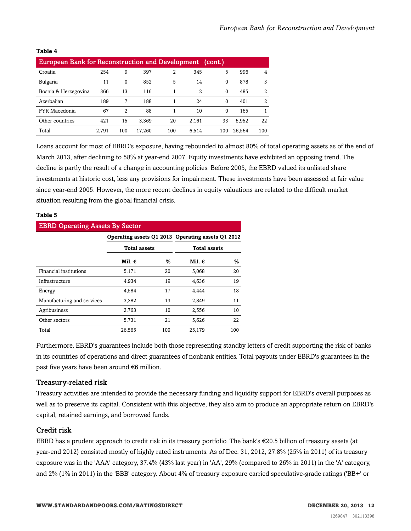| <b>European Bank for Reconstruction and Development</b><br>(cont.) |       |          |        |     |       |          |        |     |
|--------------------------------------------------------------------|-------|----------|--------|-----|-------|----------|--------|-----|
| Croatia                                                            | 254   | 9        | 397    | 2   | 345   | 5        | 996    | 4   |
| Bulgaria                                                           | 11    | $\Omega$ | 852    | 5   | 14    | $\Omega$ | 878    | 3   |
| Bosnia & Herzegovina                                               | 366   | 13       | 116    |     | 2     | $\Omega$ | 485    | 2   |
| Azerbaijan                                                         | 189   | 7        | 188    |     | 24    | $\Omega$ | 401    | 2   |
| FYR Macedonia                                                      | 67    | 2        | 88     |     | 10    | $\Omega$ | 165    |     |
| Other countries                                                    | 421   | 15       | 3.369  | 20  | 2,161 | 33       | 5,952  | 22  |
| Total                                                              | 2,791 | 100      | 17,260 | 100 | 6.514 | 100      | 26,564 | 100 |

Loans account for most of EBRD's exposure, having rebounded to almost 80% of total operating assets as of the end of March 2013, after declining to 58% at year-end 2007. Equity investments have exhibited an opposing trend. The decline is partly the result of a change in accounting policies. Before 2005, the EBRD valued its unlisted share investments at historic cost, less any provisions for impairment. These investments have been assessed at fair value since year-end 2005. However, the more recent declines in equity valuations are related to the difficult market situation resulting from the global financial crisis.

#### **Table 5**

| <b>EBRD Operating Assets By Sector</b> |                     |     |                                                   |     |  |  |  |  |  |
|----------------------------------------|---------------------|-----|---------------------------------------------------|-----|--|--|--|--|--|
|                                        |                     |     | Operating assets Q1 2013 Operating assets Q1 2012 |     |  |  |  |  |  |
|                                        | <b>Total assets</b> |     | <b>Total assets</b>                               |     |  |  |  |  |  |
|                                        | Mil. €              | %   | Mil. €                                            | ℅   |  |  |  |  |  |
| Financial institutions                 | 5,171               | 20  | 5.068                                             | 20  |  |  |  |  |  |
| Infrastructure                         | 4,934               | 19  | 4,636                                             | 19  |  |  |  |  |  |
| Energy                                 | 4,584               | 17  | 4.444                                             | 18  |  |  |  |  |  |
| Manufacturing and services             | 3,382               | 13  | 2,849                                             | 11  |  |  |  |  |  |
| Agribusiness                           | 2,763               | 10  | 2,556                                             | 10  |  |  |  |  |  |
| Other sectors                          | 5,731               | 21  | 5,626                                             | 22  |  |  |  |  |  |
| Total                                  | 26.565              | 100 | 25.179                                            | 100 |  |  |  |  |  |

Furthermore, EBRD's guarantees include both those representing standby letters of credit supporting the risk of banks in its countries of operations and direct guarantees of nonbank entities. Total payouts under EBRD's guarantees in the past five years have been around €6 million.

### Treasury-related risk

Treasury activities are intended to provide the necessary funding and liquidity support for EBRD's overall purposes as well as to preserve its capital. Consistent with this objective, they also aim to produce an appropriate return on EBRD's capital, retained earnings, and borrowed funds.

### Credit risk

EBRD has a prudent approach to credit risk in its treasury portfolio. The bank's €20.5 billion of treasury assets (at year-end 2012) consisted mostly of highly rated instruments. As of Dec. 31, 2012, 27.8% (25% in 2011) of its treasury exposure was in the 'AAA' category, 37.4% (43% last year) in 'AA', 29% (compared to 26% in 2011) in the 'A' category, and 2% (1% in 2011) in the 'BBB' category. About 4% of treasury exposure carried speculative-grade ratings ('BB+' or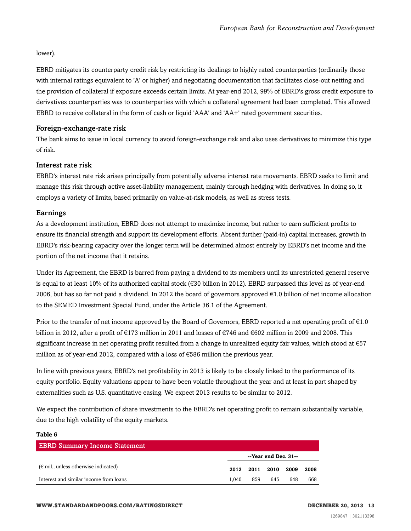lower).

EBRD mitigates its counterparty credit risk by restricting its dealings to highly rated counterparties (ordinarily those with internal ratings equivalent to 'A' or higher) and negotiating documentation that facilitates close-out netting and the provision of collateral if exposure exceeds certain limits. At year-end 2012, 99% of EBRD's gross credit exposure to derivatives counterparties was to counterparties with which a collateral agreement had been completed. This allowed EBRD to receive collateral in the form of cash or liquid 'AAA' and 'AA+' rated government securities.

### Foreign-exchange-rate risk

The bank aims to issue in local currency to avoid foreign-exchange risk and also uses derivatives to minimize this type of risk.

### Interest rate risk

EBRD's interest rate risk arises principally from potentially adverse interest rate movements. EBRD seeks to limit and manage this risk through active asset-liability management, mainly through hedging with derivatives. In doing so, it employs a variety of limits, based primarily on value-at-risk models, as well as stress tests.

### Earnings

As a development institution, EBRD does not attempt to maximize income, but rather to earn sufficient profits to ensure its financial strength and support its development efforts. Absent further (paid-in) capital increases, growth in EBRD's risk-bearing capacity over the longer term will be determined almost entirely by EBRD's net income and the portion of the net income that it retains.

Under its Agreement, the EBRD is barred from paying a dividend to its members until its unrestricted general reserve is equal to at least 10% of its authorized capital stock (€30 billion in 2012). EBRD surpassed this level as of year-end 2006, but has so far not paid a dividend. In 2012 the board of governors approved  $\epsilon$ 1.0 billion of net income allocation to the SEMED Investment Special Fund, under the Article 36.1 of the Agreement.

Prior to the transfer of net income approved by the Board of Governors, EBRD reported a net operating profit of  $\epsilon$ 1.0 billion in 2012, after a profit of €173 million in 2011 and losses of €746 and €602 million in 2009 and 2008. This significant increase in net operating profit resulted from a change in unrealized equity fair values, which stood at €57 million as of year-end 2012, compared with a loss of €586 million the previous year.

In line with previous years, EBRD's net profitability in 2013 is likely to be closely linked to the performance of its equity portfolio. Equity valuations appear to have been volatile throughout the year and at least in part shaped by externalities such as U.S. quantitative easing. We expect 2013 results to be similar to 2012.

We expect the contribution of share investments to the EBRD's net operating profit to remain substantially variable, due to the high volatility of the equity markets.

| <b>EBRD Summary Income Statement</b>          |       |                      |                     |     |      |
|-----------------------------------------------|-------|----------------------|---------------------|-----|------|
|                                               |       | --Year end Dec. 31-- |                     |     |      |
| $(\epsilon$ mil., unless otherwise indicated) |       |                      | 2012 2011 2010 2009 |     | 2008 |
| Interest and similar income from loans        | 1.040 | 859                  | 645                 | 648 | 668  |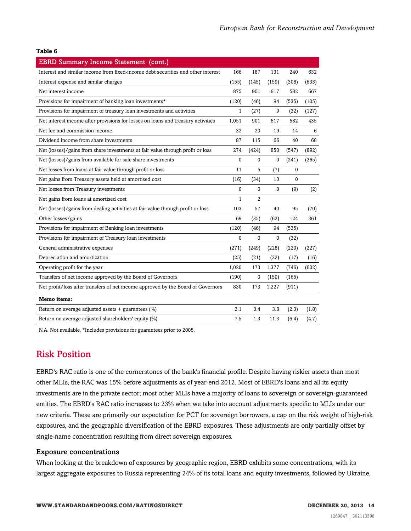| <b>EBRD Summary Income Statement (cont.)</b>                                     |              |          |              |              |       |
|----------------------------------------------------------------------------------|--------------|----------|--------------|--------------|-------|
| Interest and similar income from fixed-income debt securities and other interest | 166          | 187      | 131          | 240          | 632   |
| Interest expense and similar charges                                             | (155)        | (145)    | (159)        | (306)        | (633) |
| Net interest income                                                              | 875          | 901      | 617          | 582          | 667   |
| Provisions for impairment of banking loan investments*                           | (120)        | (46)     | 94           | (535)        | (105) |
| Provisions for impairment of treasury loan investments and activities            | $\mathbf{1}$ | (27)     | 9            | (32)         | (127) |
| Net interest income after provisions for losses on loans and treasury activities | 1,051        | 901      | 617          | 582          | 435   |
| Net fee and commission income                                                    | 32           | 20       | 19           | 14           | 6     |
| Dividend income from share investments                                           | 87           | 115      | 66           | 40           | 68    |
| Net (losses)/gains from share investments at fair value through profit or loss   | 274          | (424)    | 850          | (547)        | (892) |
| Net (losses)/gains from available for sale share investments                     | 0            | 0        | $\mathbf{0}$ | (241)        | (265) |
| Net losses from loans at fair value through profit or loss                       | 11           | 5        | (7)          | $\mathbf{0}$ |       |
| Net gains from Treasury assets held at amortised cost                            | (16)         | (34)     | 10           | $\mathbf 0$  |       |
| Net losses from Treasury investments                                             | 0            | 0        | $\mathbf 0$  | (9)          | (2)   |
| Net gains from loans at amortised cost                                           | 1            | 2        |              |              |       |
| Net (losses)/gains from dealing activities at fair value through profit or loss  | 103          | 57       | 40           | 95           | (70)  |
| Other losses/gains                                                               | 69           | (35)     | (62)         | 124          | 361   |
| Provisions for impairment of Banking loan investments                            | (120)        | (46)     | 94           | (535)        |       |
| Provisions for impairment of Treasury loan investments                           | $\mathbf{0}$ | $\Omega$ | $\Omega$     | (32)         |       |
| General administrative expenses                                                  | (271)        | (249)    | (228)        | (220)        | (227) |
| Depreciation and amortization                                                    | (25)         | (21)     | (22)         | (17)         | (16)  |
| Operating profit for the year                                                    | 1,020        | 173      | 1,377        | (746)        | (602) |
| Transfers of net income approved by the Board of Governors                       | (190)        | 0        | (150)        | (165)        |       |
| Net profit/loss after transfers of net income approved by the Board of Governors | 830          | 173      | 1,227        | (911)        |       |
| Memo items:                                                                      |              |          |              |              |       |
| Return on average adjusted assets $+$ guarantees (%)                             | 2.1          | 0.4      | 3.8          | (2.3)        | (1.8) |
| Return on average adjusted shareholders' equity (%)                              | 7.5          | 1.3      | 11.3         | (6.4)        | (4.7) |

<span id="page-13-0"></span>N.A. Not available. \*Includes provisions for guarantees prior to 2005.

### Risk Position

EBRD's RAC ratio is one of the cornerstones of the bank's financial profile. Despite having riskier assets than most other MLIs, the RAC was 15% before adjustments as of year-end 2012. Most of EBRD's loans and all its equity investments are in the private sector; most other MLIs have a majority of loans to sovereign or sovereign-guaranteed entities. The EBRD's RAC ratio increases to 23% when we take into account adjustments specific to MLIs under our new criteria. These are primarily our expectation for PCT for sovereign borrowers, a cap on the risk weight of high-risk exposures, and the geographic diversification of the EBRD exposures. These adjustments are only partially offset by single-name concentration resulting from direct sovereign exposures.

### Exposure concentrations

When looking at the breakdown of exposures by geographic region, EBRD exhibits some concentrations, with its largest aggregate exposures to Russia representing 24% of its total loans and equity investments, followed by Ukraine,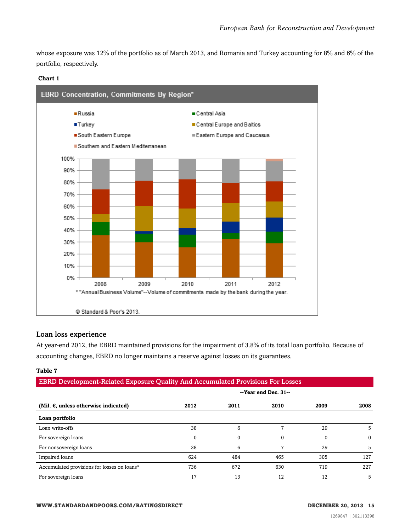whose exposure was 12% of the portfolio as of March 2013, and Romania and Turkey accounting for 8% and 6% of the portfolio, respectively.





### Loan loss experience

At year-end 2012, the EBRD maintained provisions for the impairment of 3.8% of its total loan portfolio. Because of accounting changes, EBRD no longer maintains a reserve against losses on its guarantees.

| <b>EBRD Development-Related Exposure Quality And Accumulated Provisions For Losses</b> |                      |          |          |      |          |  |  |  |
|----------------------------------------------------------------------------------------|----------------------|----------|----------|------|----------|--|--|--|
|                                                                                        | --Year end Dec. 31-- |          |          |      |          |  |  |  |
| (Mil. $\epsilon$ , unless otherwise indicated)                                         | 2012                 | 2011     | 2010     | 2009 | 2008     |  |  |  |
| Loan portfolio                                                                         |                      |          |          |      |          |  |  |  |
| Loan write-offs                                                                        | 38                   | 6        |          | 29   |          |  |  |  |
| For sovereign loans                                                                    | 0                    | $\Omega$ | $\Omega$ | 0    | $\Omega$ |  |  |  |
| For nonsovereign loans                                                                 | 38                   | 6        |          | 29   |          |  |  |  |
| Impaired loans                                                                         | 624                  | 484      | 465      | 305  | 127      |  |  |  |
| Accumulated provisions for losses on loans*                                            | 736                  | 672      | 630      | 719  | 227      |  |  |  |
| For sovereign loans                                                                    | 17                   | 13       | 12       | 12   | 5        |  |  |  |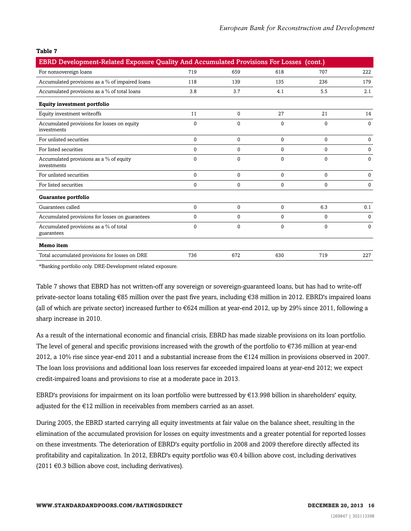| EBRD Development-Related Exposure Quality And Accumulated Provisions For Losses (cont.) |              |              |              |              |             |
|-----------------------------------------------------------------------------------------|--------------|--------------|--------------|--------------|-------------|
| For nonsovereign loans                                                                  | 719          | 659          | 618          | 707          | 222         |
| Accumulated provisions as a % of impaired loans                                         | 118          | 139          | 135          | 236          | 179         |
| Accumulated provisions as a % of total loans                                            | 3.8          | 3.7          | 4.1          | 5.5          | 2.1         |
| <b>Equity investment portfolio</b>                                                      |              |              |              |              |             |
| Equity investment writeoffs                                                             | 11           | $\Omega$     | 27           | 21           | 14          |
| Accumulated provisions for losses on equity<br>investments                              | 0            | $\Omega$     | $\mathbf{0}$ | $\Omega$     | $\Omega$    |
| For unlisted securities                                                                 | 0            | $\mathbf{0}$ | $\mathbf{0}$ | $\mathbf{0}$ | $\mathbf 0$ |
| For listed securities                                                                   | $\Omega$     | $\Omega$     | $\mathbf 0$  | 0            | $\Omega$    |
| Accumulated provisions as a % of equity<br>investments                                  | $\mathbf{0}$ | $\Omega$     | $\Omega$     | $\theta$     | $\Omega$    |
| For unlisted securities                                                                 | $\Omega$     | $\Omega$     | $\mathbf 0$  | 0            | $\Omega$    |
| For listed securities                                                                   | $\Omega$     | $\Omega$     | $\mathbf 0$  | $\Omega$     | $\Omega$    |
| Guarantee portfolio                                                                     |              |              |              |              |             |
| Guarantees called                                                                       | $\Omega$     | $\Omega$     | $\mathbf 0$  | 6.3          | 0.1         |
| Accumulated provisions for losses on guarantees                                         | $\mathbf 0$  | $\mathbf 0$  | 0            | $\mathbf{0}$ | $\mathbf 0$ |
| Accumulated provisions as a % of total<br>guarantees                                    | $\Omega$     | $\Omega$     | $\mathbf 0$  | $\mathbf 0$  | $\Omega$    |
| Memo item                                                                               |              |              |              |              |             |
| Total accumulated provisions for losses on DRE                                          | 736          | 672          | 630          | 719          | 227         |

\*Banking portfolio only. DRE-Development related exposure.

Table 7 shows that EBRD has not written-off any sovereign or sovereign-guaranteed loans, but has had to write-off private-sector loans totaling €85 million over the past five years, including €38 million in 2012. EBRD's impaired loans (all of which are private sector) increased further to  $\epsilon$ 624 million at year-end 2012, up by 29% since 2011, following a sharp increase in 2010.

As a result of the international economic and financial crisis, EBRD has made sizable provisions on its loan portfolio. The level of general and specific provisions increased with the growth of the portfolio to €736 million at year-end 2012, a 10% rise since year-end 2011 and a substantial increase from the €124 million in provisions observed in 2007. The loan loss provisions and additional loan loss reserves far exceeded impaired loans at year-end 2012; we expect credit-impaired loans and provisions to rise at a moderate pace in 2013.

EBRD's provisions for impairment on its loan portfolio were buttressed by €13.998 billion in shareholders' equity, adjusted for the €12 million in receivables from members carried as an asset.

During 2005, the EBRD started carrying all equity investments at fair value on the balance sheet, resulting in the elimination of the accumulated provision for losses on equity investments and a greater potential for reported losses on these investments. The deterioration of EBRD's equity portfolio in 2008 and 2009 therefore directly affected its profitability and capitalization. In 2012, EBRD's equity portfolio was €0.4 billion above cost, including derivatives  $(2011 \text{ } \in 0.3 \text{ billion above cost}, \text{including derivatives}).$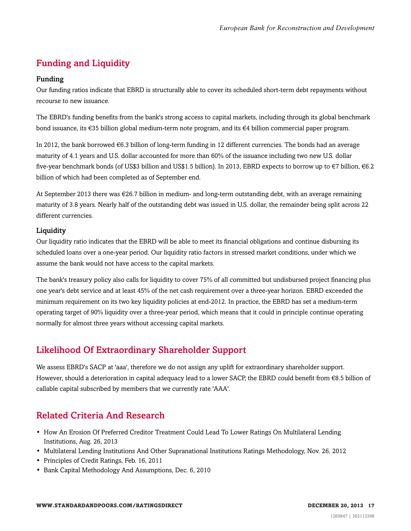### <span id="page-16-0"></span>Funding and Liquidity

### Funding

Our funding ratios indicate that EBRD is structurally able to cover its scheduled short-term debt repayments without recourse to new issuance.

The EBRD's funding benefits from the bank's strong access to capital markets, including through its global benchmark bond issuance, its €35 billion global medium-term note program, and its €4 billion commercial paper program.

In 2012, the bank borrowed €6.3 billion of long-term funding in 12 different currencies. The bonds had an average maturity of 4.1 years and U.S. dollar accounted for more than 60% of the issuance including two new U.S. dollar five-year benchmark bonds (of US\$3 billion and US\$1.5 billion). In 2013, EBRD expects to borrow up to €7 billion, €6.2 billion of which had been completed as of September end.

At September 2013 there was €26.7 billion in medium- and long-term outstanding debt, with an average remaining maturity of 3.8 years. Nearly half of the outstanding debt was issued in U.S. dollar, the remainder being split across 22 different currencies.

### Liquidity

Our liquidity ratio indicates that the EBRD will be able to meet its financial obligations and continue disbursing its scheduled loans over a one-year period. Our liquidity ratio factors in stressed market conditions, under which we assume the bank would not have access to the capital markets.

The bank's treasury policy also calls for liquidity to cover 75% of all committed but undisbursed project financing plus one year's debt service and at least 45% of the net cash requirement over a three-year horizon. EBRD exceeded the minimum requirement on its two key liquidity policies at end-2012. In practice, the EBRD has set a medium-term operating target of 90% liquidity over a three-year period, which means that it could in principle continue operating normally for almost three years without accessing capital markets.

### <span id="page-16-1"></span>Likelihood Of Extraordinary Shareholder Support

We assess EBRD's SACP at 'aaa', therefore we do not assign any uplift for extraordinary shareholder support. However, should a deterioration in capital adequacy lead to a lower SACP, the EBRD could benefit from €8.5 billion of callable capital subscribed by members that we currently rate 'AAA'.

### <span id="page-16-2"></span>Related Criteria And Research

- How An Erosion Of Preferred Creditor Treatment Could Lead To Lower Ratings On Multilateral Lending Institutions, Aug. 26, 2013
- Multilateral Lending Institutions And Other Supranational Institutions Ratings Methodology, Nov. 26, 2012
- Principles of Credit Ratings, Feb. 16, 2011
- Bank Capital Methodology And Assumptions, Dec. 6, 2010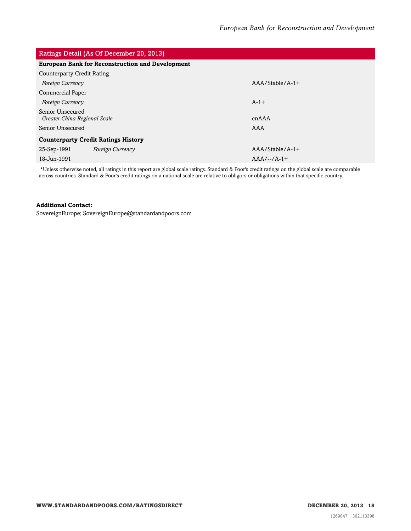| Ratings Detail (As Of December 20, 2013)                |                   |
|---------------------------------------------------------|-------------------|
| <b>European Bank for Reconstruction and Development</b> |                   |
| <b>Counterparty Credit Rating</b>                       |                   |
| <b>Foreign Currency</b>                                 | $AAA/Stable/A-1+$ |
| <b>Commercial Paper</b>                                 |                   |
| <b>Foreign Currency</b>                                 | $A-1+$            |
| Senior Unsecured<br>Greater China Regional Scale        | cnAAA             |
| Senior Unsecured                                        | AAA               |
| <b>Counterparty Credit Ratings History</b>              |                   |
| 25-Sep-1991<br><b>Foreign Currency</b>                  | $AAA/Stable/A-1+$ |
| 18-Jun-1991                                             | $AAA/--/A-1+$     |

\*Unless otherwise noted, all ratings in this report are global scale ratings. Standard & Poor's credit ratings on the global scale are comparable across countries. Standard & Poor's credit ratings on a national scale are relative to obligors or obligations within that specific country.

### **Additional Contact:**

SovereignEurope; SovereignEurope@standardandpoors.com